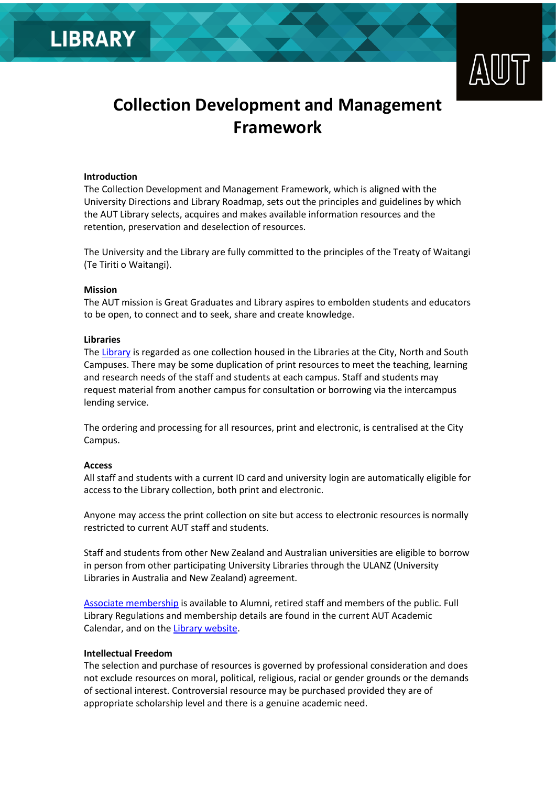



# **Collection Development and Management Framework**

#### **Introduction**

The Collection Development and Management Framework, which is aligned with the University Directions and Library Roadmap, sets out the principles and guidelines by which the AUT Library selects, acquires and makes available information resources and the retention, preservation and deselection of resources.

The University and the Library are fully committed to the principles of the Treaty of Waitangi (Te Tiriti o Waitangi).

#### **Mission**

The AUT mission is Great Graduates and Library aspires to embolden students and educators to be open, to connect and to seek, share and create knowledge.

#### **Libraries**

The [Library](https://library.aut.ac.nz/) is regarded as one collection housed in the Libraries at the City, North and South Campuses. There may be some duplication of print resources to meet the teaching, learning and research needs of the staff and students at each campus. Staff and students may request material from another campus for consultation or borrowing via the intercampus lending service.

The ordering and processing for all resources, print and electronic, is centralised at the City Campus.

#### **Access**

All staff and students with a current ID card and university login are automatically eligible for access to the Library collection, both print and electronic.

Anyone may access the print collection on site but access to electronic resources is normally restricted to current AUT staff and students.

Staff and students from other New Zealand and Australian universities are eligible to borrow in person from other participating University Libraries through the ULANZ (University Libraries in Australia and New Zealand) agreement.

[Associate membership](https://library.aut.ac.nz/about/alumni-and-external-members) is available to Alumni, retired staff and members of the public. Full Library Regulations and membership details are found in the current AUT Academic Calendar, and on th[e Library website.](https://library.aut.ac.nz/about/membership)

#### **Intellectual Freedom**

The selection and purchase of resources is governed by professional consideration and does not exclude resources on moral, political, religious, racial or gender grounds or the demands of sectional interest. Controversial resource may be purchased provided they are of appropriate scholarship level and there is a genuine academic need.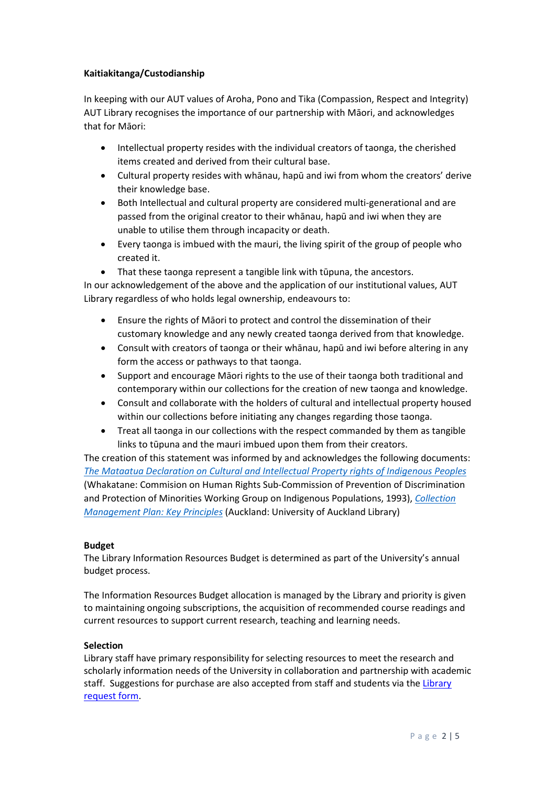# **Kaitiakitanga/Custodianship**

In keeping with our AUT values of Aroha, Pono and Tika (Compassion, Respect and Integrity) AUT Library recognises the importance of our partnership with Māori, and acknowledges that for Māori:

- Intellectual property resides with the individual creators of taonga, the cherished items created and derived from their cultural base.
- Cultural property resides with whānau, hapū and iwi from whom the creators' derive their knowledge base.
- Both Intellectual and cultural property are considered multi-generational and are passed from the original creator to their whānau, hapū and iwi when they are unable to utilise them through incapacity or death.
- Every taonga is imbued with the mauri, the living spirit of the group of people who created it.
- That these taonga represent a tangible link with tūpuna, the ancestors.

In our acknowledgement of the above and the application of our institutional values, AUT Library regardless of who holds legal ownership, endeavours to:

- Ensure the rights of Māori to protect and control the dissemination of their customary knowledge and any newly created taonga derived from that knowledge.
- Consult with creators of taonga or their whānau, hapū and iwi before altering in any form the access or pathways to that taonga.
- Support and encourage Māori rights to the use of their taonga both traditional and contemporary within our collections for the creation of new taonga and knowledge.
- Consult and collaborate with the holders of cultural and intellectual property housed within our collections before initiating any changes regarding those taonga.
- Treat all taonga in our collections with the respect commanded by them as tangible links to tūpuna and the mauri imbued upon them from their creators.

The creation of this statement was informed by and acknowledges the following documents: *[The Mataatua Declaration on Cultural and Intellectual Property rights of Indigenous Peoples](http://www.ngaaho.maori.nz/cms/resources/mataatua.pdf)* (Whakatane: Commision on Human Rights Sub-Commission of Prevention of Discrimination and Protection of Minorities Working Group on Indigenous Populations, 1993), *[Collection](https://www.library.auckland.ac.nz/about-us/collections/collection-management/key-principles#principles)  [Management Plan: Key Principles](https://www.library.auckland.ac.nz/about-us/collections/collection-management/key-principles#principles)* (Auckland: University of Auckland Library)

# **Budget**

The Library Information Resources Budget is determined as part of the University's annual budget process.

The Information Resources Budget allocation is managed by the Library and priority is given to maintaining ongoing subscriptions, the acquisition of recommended course readings and current resources to support current research, teaching and learning needs.

# **Selection**

Library staff have primary responsibility for selecting resources to meet the research and scholarly information needs of the University in collaboration and partnership with academic staff. Suggestions for purchase are also accepted from staff and students via th[e Library](https://library.aut.ac.nz/forms/materials-request-form.)  [request form.](https://library.aut.ac.nz/forms/materials-request-form.)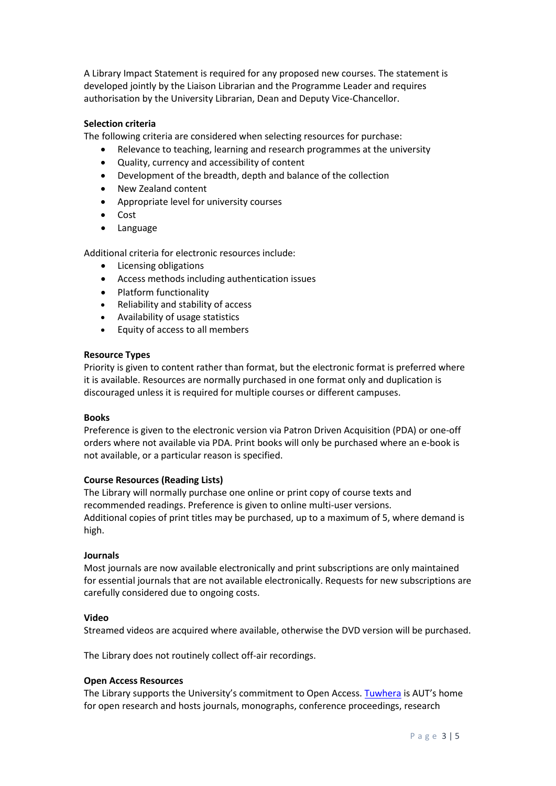A Library Impact Statement is required for any proposed new courses. The statement is developed jointly by the Liaison Librarian and the Programme Leader and requires authorisation by the University Librarian, Dean and Deputy Vice-Chancellor.

# **Selection criteria**

The following criteria are considered when selecting resources for purchase:

- Relevance to teaching, learning and research programmes at the university
- Quality, currency and accessibility of content
- Development of the breadth, depth and balance of the collection
- New Zealand content
- Appropriate level for university courses
- Cost
- Language

Additional criteria for electronic resources include:

- Licensing obligations
- Access methods including authentication issues
- Platform functionality
- Reliability and stability of access
- Availability of usage statistics
- Equity of access to all members

# **Resource Types**

Priority is given to content rather than format, but the electronic format is preferred where it is available. Resources are normally purchased in one format only and duplication is discouraged unless it is required for multiple courses or different campuses.

# **Books**

Preference is given to the electronic version via Patron Driven Acquisition (PDA) or one-off orders where not available via PDA. Print books will only be purchased where an e-book is not available, or a particular reason is specified.

# **Course Resources (Reading Lists)**

The Library will normally purchase one online or print copy of course texts and recommended readings. Preference is given to online multi-user versions. Additional copies of print titles may be purchased, up to a maximum of 5, where demand is high.

# **Journals**

Most journals are now available electronically and print subscriptions are only maintained for essential journals that are not available electronically. Requests for new subscriptions are carefully considered due to ongoing costs.

# **Video**

Streamed videos are acquired where available, otherwise the DVD version will be purchased.

The Library does not routinely collect off-air recordings.

# **Open Access Resources**

The Library supports the University's commitment to Open Access. [Tuwhera](https://tuwhera.aut.ac.nz/home) is AUT's home for open research and hosts journals, monographs, conference proceedings, research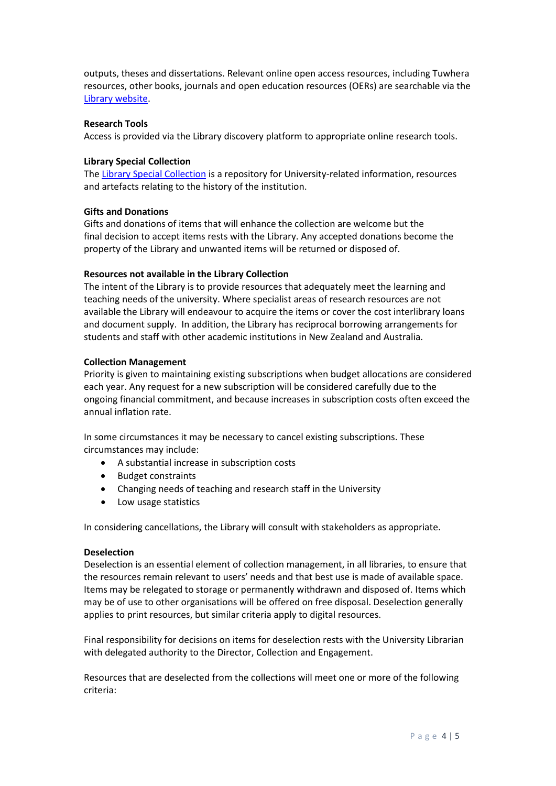outputs, theses and dissertations. Relevant online open access resources, including Tuwhera resources, other books, journals and open education resources (OERs) are searchable via the [Library website.](https://library.aut.ac.nz/)

#### **Research Tools**

Access is provided via the Library discovery platform to appropriate online research tools.

#### **Library Special Collection**

The [Library Special Collection](https://library.aut.ac.nz/how-to-library/search-the-special-collections) is a repository for University-related information, resources and artefacts relating to the history of the institution.

#### **Gifts and Donations**

Gifts and donations of items that will enhance the collection are welcome but the final decision to accept items rests with the Library. Any accepted donations become the property of the Library and unwanted items will be returned or disposed of.

# **Resources not available in the Library Collection**

The intent of the Library is to provide resources that adequately meet the learning and teaching needs of the university. Where specialist areas of research resources are not available the Library will endeavour to acquire the items or cover the cost interlibrary loans and document supply. In addition, the Library has reciprocal borrowing arrangements for students and staff with other academic institutions in New Zealand and Australia.

#### **Collection Management**

Priority is given to maintaining existing subscriptions when budget allocations are considered each year. Any request for a new subscription will be considered carefully due to the ongoing financial commitment, and because increases in subscription costs often exceed the annual inflation rate.

In some circumstances it may be necessary to cancel existing subscriptions. These circumstances may include:

- A substantial increase in subscription costs
- Budget constraints
- Changing needs of teaching and research staff in the University
- Low usage statistics

In considering cancellations, the Library will consult with stakeholders as appropriate.

#### **Deselection**

Deselection is an essential element of collection management, in all libraries, to ensure that the resources remain relevant to users' needs and that best use is made of available space. Items may be relegated to storage or permanently withdrawn and disposed of. Items which may be of use to other organisations will be offered on free disposal. Deselection generally applies to print resources, but similar criteria apply to digital resources.

Final responsibility for decisions on items for deselection rests with the University Librarian with delegated authority to the Director, Collection and Engagement.

Resources that are deselected from the collections will meet one or more of the following criteria: